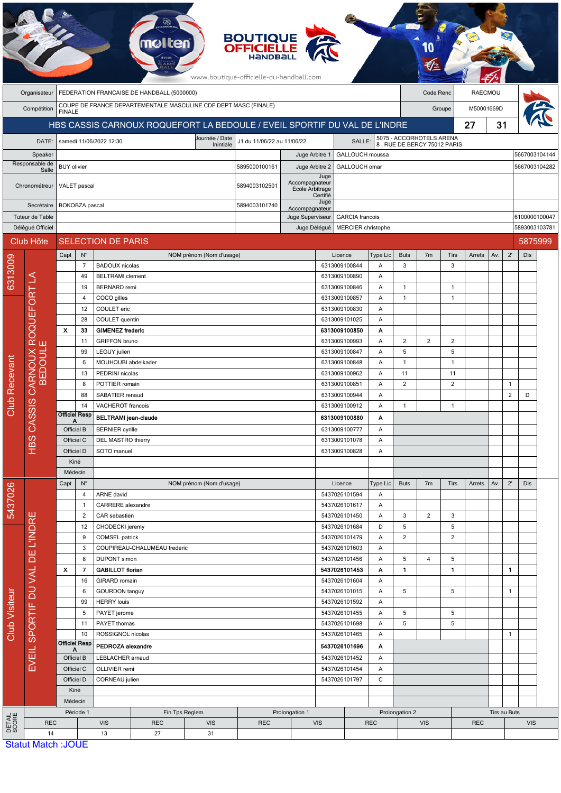|                                          | <b>BOUTIQUE<br/>OFFICIELLE</b><br>www.boutique-officielle-du-handball.com |                                                                                                          |                                                          |                                                                                      |                                                                 |                                            |                                                                |                                          |                                                                                   |                                |                   |                      |                                                         |                      |            |                          |                |            |               |
|------------------------------------------|---------------------------------------------------------------------------|----------------------------------------------------------------------------------------------------------|----------------------------------------------------------|--------------------------------------------------------------------------------------|-----------------------------------------------------------------|--------------------------------------------|----------------------------------------------------------------|------------------------------------------|-----------------------------------------------------------------------------------|--------------------------------|-------------------|----------------------|---------------------------------------------------------|----------------------|------------|--------------------------|----------------|------------|---------------|
|                                          | Organisateur                                                              | FEDERATION FRANCAISE DE HANDBALL (5000000)                                                               |                                                          |                                                                                      |                                                                 |                                            |                                                                |                                          |                                                                                   |                                |                   | Code Renc            |                                                         | <b>RAECMOU</b>       |            |                          |                |            |               |
|                                          | Compétition                                                               | COUPE DE FRANCE DEPARTEMENTALE MASCULINE CDF DEPT MASC (FINALE)<br>M50001669D<br>Groupe<br><b>FINALE</b> |                                                          |                                                                                      |                                                                 |                                            |                                                                |                                          |                                                                                   |                                |                   |                      |                                                         |                      |            |                          |                |            |               |
|                                          |                                                                           | HBS CASSIS CARNOUX ROQUEFORT LA BEDOULE / EVEIL SPORTIF DU VAL DE L'INDRE                                |                                                          |                                                                                      |                                                                 |                                            |                                                                |                                          |                                                                                   |                                |                   |                      |                                                         |                      | 27         | 31                       |                |            |               |
| DATE:                                    |                                                                           |                                                                                                          |                                                          | Journée / Date<br>J1 du 11/06/22 au 11/06/22<br>samedi 11/06/2022 12:30<br>Inintiale |                                                                 |                                            |                                                                |                                          |                                                                                   | <b>SALLE</b>                   |                   |                      | 5075 - ACCORHOTELS ARENA<br>8, RUE DE BERCY 75012 PARIS |                      |            |                          |                |            |               |
| Speaker                                  |                                                                           |                                                                                                          |                                                          |                                                                                      |                                                                 |                                            | Juge Arbitre 1                                                 |                                          |                                                                                   | GALLOUCH moussa                |                   |                      |                                                         |                      |            |                          |                |            | 5667003104144 |
| Responsable de<br>Salle<br>Chronométreur |                                                                           | <b>BUY</b> olivier                                                                                       |                                                          |                                                                                      |                                                                 |                                            | 5895000100161<br>Juge Arbitre 2                                |                                          |                                                                                   | GALLOUCH omar<br>Juge          |                   |                      |                                                         |                      |            |                          |                |            | 5667003104282 |
|                                          |                                                                           |                                                                                                          | VALET pascal                                             |                                                                                      |                                                                 |                                            | Accompagnateur<br>5894003102501<br>Ecole Arbitrage<br>Certifié |                                          |                                                                                   |                                |                   |                      |                                                         |                      |            |                          |                |            |               |
| Secrétaire                               |                                                                           |                                                                                                          | BOKOBZA pascal                                           |                                                                                      | 5894003101740<br>Accompagnateur                                 |                                            |                                                                | Juge                                     |                                                                                   |                                |                   |                      |                                                         |                      |            |                          |                |            |               |
|                                          | Tuteur de Table                                                           |                                                                                                          |                                                          |                                                                                      |                                                                 | Juge Superviseur<br><b>GARCIA</b> francois |                                                                |                                          |                                                                                   |                                |                   |                      |                                                         |                      |            |                          | 6100000100047  |            |               |
| Délégué Officiel<br>Club Hôte            |                                                                           |                                                                                                          |                                                          |                                                                                      | MERCIER christophe<br>Juge Délégué<br><b>SELECTION DE PARIS</b> |                                            |                                                                |                                          |                                                                                   |                                |                   |                      |                                                         |                      |            | 5893003103781<br>5875999 |                |            |               |
|                                          |                                                                           | Capt                                                                                                     | $N^{\circ}$                                              |                                                                                      |                                                                 | NOM prénom (Nom d'usage)                   |                                                                |                                          |                                                                                   | Licence                        | Type Lic          | <b>Buts</b>          | 7 <sub>m</sub>                                          | Tirs                 | Arrets     | Av.                      | $2^{\prime}$   | Dis        |               |
| 6313009                                  |                                                                           |                                                                                                          | $\overline{7}$                                           | <b>BADOUX</b> nicolas                                                                |                                                                 |                                            |                                                                |                                          |                                                                                   | 6313009100844                  | Α                 | 3                    |                                                         | 3                    |            |                          |                |            |               |
|                                          |                                                                           |                                                                                                          | 49                                                       | <b>BELTRAMI</b> clement                                                              |                                                                 |                                            |                                                                |                                          |                                                                                   | 6313009100890                  | Α                 |                      |                                                         |                      |            |                          |                |            |               |
|                                          | EFORT LA                                                                  |                                                                                                          | 19                                                       | <b>BERNARD</b> remi                                                                  |                                                                 |                                            |                                                                |                                          |                                                                                   | 6313009100846                  | Α                 | 1                    |                                                         | $\mathbf{1}$         |            |                          |                |            |               |
|                                          |                                                                           |                                                                                                          | 4                                                        | COCO gilles                                                                          |                                                                 |                                            | 6313009100857<br>6313009100830                                 |                                          | Α                                                                                 | 1                              |                   | $\mathbf{1}$         |                                                         |                      |            |                          |                |            |               |
|                                          |                                                                           |                                                                                                          | 12<br>28                                                 | COULET eric<br>COULET quentin                                                        |                                                                 |                                            |                                                                |                                          |                                                                                   | 6313009101025                  | Α<br>Α            |                      |                                                         |                      |            |                          |                |            |               |
|                                          | ā                                                                         | X<br>33                                                                                                  |                                                          | <b>GIMENEZ frederic</b>                                                              |                                                                 |                                            |                                                                |                                          |                                                                                   | 6313009100850                  | A                 |                      |                                                         |                      |            |                          |                |            |               |
|                                          | $\overline{R}$ is                                                         |                                                                                                          | 11                                                       | <b>GRIFFON bruno</b>                                                                 |                                                                 |                                            |                                                                | 6313009100993                            |                                                                                   | Α                              | $\overline{c}$    | 2                    | $\overline{2}$                                          |                      |            |                          |                |            |               |
|                                          | <b>EDOUL</b><br><b>CARNOUX</b><br>$\mathbf{m}$<br>CASSIS<br><b>HBS</b>    | 99                                                                                                       |                                                          | LEGUY julien                                                                         |                                                                 |                                            |                                                                |                                          |                                                                                   | 6313009100847<br>Α             |                   | 5                    |                                                         | 5                    |            |                          |                |            |               |
|                                          |                                                                           | 6<br>MOUHOUBI abdelkader<br>13<br>PEDRINI nicolas                                                        |                                                          |                                                                                      |                                                                 |                                            |                                                                |                                          |                                                                                   | 6313009100848<br>Α             |                   | $\mathbf{1}$         |                                                         | $\mathbf{1}$         |            |                          |                |            |               |
|                                          |                                                                           |                                                                                                          | 8                                                        | POTTIER romain                                                                       |                                                                 |                                            |                                                                |                                          |                                                                                   | 6313009100962<br>6313009100851 | Α<br>Α            | 11<br>$\overline{2}$ |                                                         | 11<br>$\overline{2}$ |            |                          | 1              |            |               |
|                                          |                                                                           |                                                                                                          | 88                                                       | SABATIER renaud                                                                      |                                                                 |                                            |                                                                |                                          |                                                                                   | 6313009100944                  | Α                 |                      |                                                         |                      |            |                          | $\overline{2}$ | D          |               |
| <b>Club Recevant</b>                     |                                                                           |                                                                                                          | 14                                                       | <b>VACHEROT</b> francois                                                             |                                                                 |                                            |                                                                |                                          |                                                                                   | 6313009100912                  | Α                 | $\mathbf{1}$         |                                                         | $\mathbf{1}$         |            |                          |                |            |               |
|                                          |                                                                           | А                                                                                                        | <b>Officiel Resp</b>                                     | <b>BELTRAMI</b> jean-claude                                                          |                                                                 |                                            |                                                                | 6313009100880<br>Α                       |                                                                                   |                                |                   |                      |                                                         |                      |            |                          |                |            |               |
|                                          |                                                                           | Officiel B                                                                                               |                                                          | <b>BERNIER</b> cyrille                                                               |                                                                 |                                            |                                                                | 6313009100777<br>Α                       |                                                                                   |                                |                   |                      |                                                         |                      |            |                          |                |            |               |
|                                          |                                                                           | Officiel C<br>Officiel D                                                                                 |                                                          | DEL MASTRO thierry<br>SOTO manuel                                                    |                                                                 |                                            |                                                                | 6313009101078<br>Α<br>6313009100828<br>Α |                                                                                   |                                |                   |                      |                                                         |                      |            |                          |                |            |               |
|                                          |                                                                           | Kiné                                                                                                     |                                                          |                                                                                      |                                                                 |                                            |                                                                |                                          |                                                                                   |                                |                   |                      |                                                         |                      |            |                          |                |            |               |
|                                          |                                                                           | Médecin                                                                                                  |                                                          |                                                                                      |                                                                 |                                            |                                                                |                                          |                                                                                   |                                |                   |                      |                                                         |                      |            |                          |                |            |               |
|                                          |                                                                           | Capt                                                                                                     | $N^{\circ}$                                              |                                                                                      |                                                                 | NOM prénom (Nom d'usage)                   |                                                                |                                          |                                                                                   | Licence                        | Type Lic          | <b>Buts</b>          | 7 <sub>m</sub>                                          | Tirs                 | Arrets     | Av.                      | $2^{\prime}$   | Dis        |               |
| 5437026                                  |                                                                           |                                                                                                          | 4                                                        | ARNE david                                                                           |                                                                 |                                            |                                                                |                                          |                                                                                   | 5437026101594                  | Α                 |                      |                                                         |                      |            |                          |                |            |               |
|                                          | ш                                                                         |                                                                                                          | $\mathbf{1}$<br>$\overline{2}$                           | <b>CARRERE</b> alexandre<br>CAR sebastien                                            |                                                                 |                                            |                                                                |                                          |                                                                                   | 5437026101617<br>5437026101450 | Α<br>Α            | 3                    | $\overline{2}$                                          | 3                    |            |                          |                |            |               |
|                                          |                                                                           |                                                                                                          | 12                                                       | CHODECKI jeremy                                                                      |                                                                 |                                            |                                                                |                                          |                                                                                   | 5437026101684                  | D                 | 5                    |                                                         | 5                    |            |                          |                |            |               |
|                                          |                                                                           | 9                                                                                                        |                                                          | <b>COMSEL</b> patrick                                                                |                                                                 |                                            |                                                                |                                          |                                                                                   | 5437026101479                  | Α                 | $\overline{2}$       |                                                         | $\overline{2}$       |            |                          |                |            |               |
|                                          | DE L'INDR                                                                 |                                                                                                          | 3                                                        |                                                                                      | COUPIREAU-CHALUMEAU frederic                                    |                                            |                                                                |                                          | 5437026101603                                                                     |                                | Α                 |                      |                                                         |                      |            |                          |                |            |               |
|                                          |                                                                           | $\pmb{\chi}$                                                                                             | 8<br><b>DUPONT</b> simon<br><b>GABILLOT florian</b><br>7 |                                                                                      |                                                                 |                                            |                                                                | 5437026101456<br>5437026101453           |                                                                                   | Α                              | 5<br>$\mathbf{1}$ | $\overline{4}$       | 5                                                       |                      |            | 1.                       |                |            |               |
|                                          |                                                                           |                                                                                                          | 16                                                       | GIRARD romain                                                                        |                                                                 |                                            |                                                                |                                          |                                                                                   | 5437026101604                  | Α<br>Α            |                      |                                                         | 1                    |            |                          |                |            |               |
| Club Visiteur                            |                                                                           |                                                                                                          | 6                                                        | <b>GOURDON</b> tanguy                                                                |                                                                 |                                            |                                                                |                                          | 5437026101015<br>Α                                                                |                                |                   | 5                    |                                                         | 5                    |            |                          | $\mathbf{1}$   |            |               |
|                                          |                                                                           |                                                                                                          | 99                                                       | <b>HERRY</b> louis                                                                   |                                                                 |                                            |                                                                |                                          |                                                                                   | 5437026101592                  | Α                 |                      |                                                         |                      |            |                          |                |            |               |
|                                          |                                                                           |                                                                                                          | 5<br>PAYET jerome                                        |                                                                                      |                                                                 |                                            |                                                                | 5437026101455<br>5437026101698           |                                                                                   | Α                              | 5                 |                      | 5                                                       |                      |            |                          |                |            |               |
|                                          | SPORTIF DU VAL<br>EVEIL                                                   |                                                                                                          | 11<br>10                                                 | PAYET thomas                                                                         |                                                                 |                                            |                                                                |                                          |                                                                                   |                                | Α<br>Α            | 5                    |                                                         | 5                    |            |                          | $\mathbf{1}$   |            |               |
|                                          |                                                                           | <b>Officiel Resp</b>                                                                                     |                                                          | ROSSIGNOL nicolas<br>PEDROZA alexandre<br>LEBLACHER arnaud<br>OLLIVIER remi          |                                                                 |                                            |                                                                |                                          | 5437026101465<br>5437026101696<br>5437026101452<br>5437026101454<br>5437026101797 |                                | Α                 |                      |                                                         |                      |            |                          |                |            |               |
|                                          |                                                                           | A                                                                                                        | Officiel B                                               |                                                                                      |                                                                 |                                            |                                                                |                                          |                                                                                   |                                | Α                 |                      |                                                         |                      |            |                          |                |            |               |
|                                          |                                                                           |                                                                                                          | Officiel C                                               |                                                                                      |                                                                 |                                            |                                                                |                                          |                                                                                   |                                | Α                 |                      |                                                         |                      |            |                          |                |            |               |
|                                          |                                                                           |                                                                                                          | CORNEAU julien<br>Officiel D                             |                                                                                      |                                                                 |                                            |                                                                | C                                        |                                                                                   |                                |                   |                      |                                                         |                      |            |                          |                |            |               |
|                                          |                                                                           |                                                                                                          | Kiné                                                     |                                                                                      |                                                                 |                                            |                                                                |                                          |                                                                                   |                                |                   |                      |                                                         |                      |            |                          |                |            |               |
|                                          |                                                                           | Médecin                                                                                                  | Période 1                                                |                                                                                      | Fin Tps Reglem.                                                 |                                            |                                                                | Prolongation 1                           |                                                                                   |                                |                   | Prolongation 2       |                                                         |                      |            |                          | Tirs au Buts   |            |               |
| DETAIL<br>SCORE                          | <b>REC</b>                                                                |                                                                                                          |                                                          | <b>VIS</b>                                                                           | <b>REC</b>                                                      | <b>VIS</b>                                 | <b>REC</b>                                                     |                                          | <b>VIS</b>                                                                        |                                | <b>REC</b>        |                      | <b>VIS</b>                                              |                      | <b>REC</b> |                          |                | <b>VIS</b> |               |
|                                          | 14<br>Statut Match : IOUE                                                 |                                                                                                          |                                                          | 13                                                                                   | 27                                                              | 31                                         |                                                                |                                          |                                                                                   |                                |                   |                      |                                                         |                      |            |                          |                |            |               |

t Match :JOUE